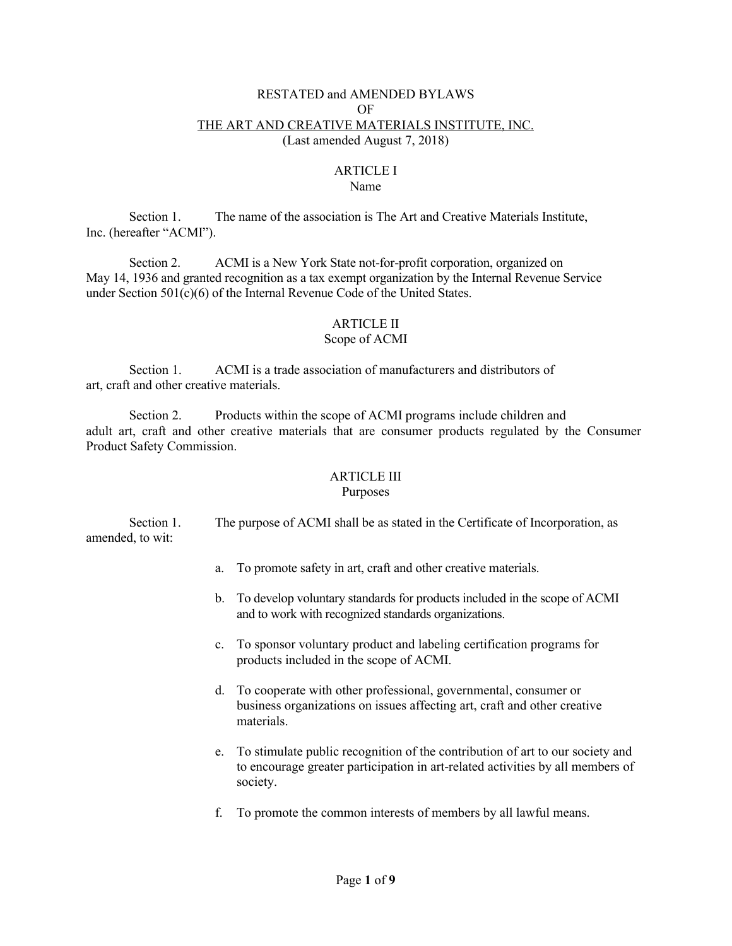#### RESTATED and AMENDED BYLAWS OF THE ART AND CREATIVE MATERIALS INSTITUTE, INC. (Last amended August 7, 2018)

#### ARTICLE I Name

Section 1. The name of the association is The Art and Creative Materials Institute, Inc. (hereafter "ACMI").

Section 2. ACMI is a New York State not-for-profit corporation, organized on May 14, 1936 and granted recognition as a tax exempt organization by the Internal Revenue Service under Section 501(c)(6) of the Internal Revenue Code of the United States.

## ARTICLE II

#### Scope of ACMI

Section 1. ACMI is a trade association of manufacturers and distributors of art, craft and other creative materials.

Section 2. Products within the scope of ACMI programs include children and adult art, craft and other creative materials that are consumer products regulated by the Consumer Product Safety Commission.

# ARTICLE III

## Purposes

Section 1. The purpose of ACMI shall be as stated in the Certificate of Incorporation, as amended, to wit:

- a. To promote safety in art, craft and other creative materials.
- b. To develop voluntary standards for products included in the scope of ACMI and to work with recognized standards organizations.
- c. To sponsor voluntary product and labeling certification programs for products included in the scope of ACMI.
- d. To cooperate with other professional, governmental, consumer or business organizations on issues affecting art, craft and other creative materials.
- e. To stimulate public recognition of the contribution of art to our society and to encourage greater participation in art-related activities by all members of society.
- f. To promote the common interests of members by all lawful means.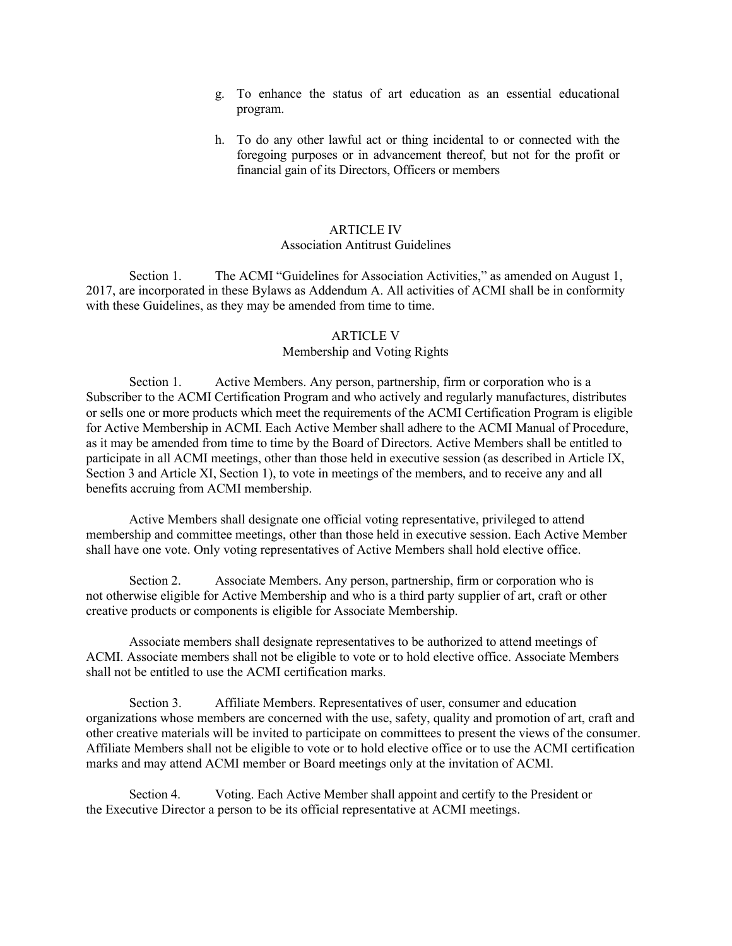- g. To enhance the status of art education as an essential educational program.
- h. To do any other lawful act or thing incidental to or connected with the foregoing purposes or in advancement thereof, but not for the profit or financial gain of its Directors, Officers or members

## ARTICLE IV

Association Antitrust Guidelines

Section 1. The ACMI "Guidelines for Association Activities," as amended on August 1, 2017, are incorporated in these Bylaws as Addendum A. All activities of ACMI shall be in conformity with these Guidelines, as they may be amended from time to time.

#### ARTICLE V

## Membership and Voting Rights

Section 1. Active Members. Any person, partnership, firm or corporation who is a Subscriber to the ACMI Certification Program and who actively and regularly manufactures, distributes or sells one or more products which meet the requirements of the ACMI Certification Program is eligible for Active Membership in ACMI. Each Active Member shall adhere to the ACMI Manual of Procedure, as it may be amended from time to time by the Board of Directors. Active Members shall be entitled to participate in all ACMI meetings, other than those held in executive session (as described in Article IX, Section 3 and Article XI, Section 1), to vote in meetings of the members, and to receive any and all benefits accruing from ACMI membership.

Active Members shall designate one official voting representative, privileged to attend membership and committee meetings, other than those held in executive session. Each Active Member shall have one vote. Only voting representatives of Active Members shall hold elective office.

Section 2. Associate Members. Any person, partnership, firm or corporation who is not otherwise eligible for Active Membership and who is a third party supplier of art, craft or other creative products or components is eligible for Associate Membership.

Associate members shall designate representatives to be authorized to attend meetings of ACMI. Associate members shall not be eligible to vote or to hold elective office. Associate Members shall not be entitled to use the ACMI certification marks.

Section 3. Affiliate Members. Representatives of user, consumer and education organizations whose members are concerned with the use, safety, quality and promotion of art, craft and other creative materials will be invited to participate on committees to present the views of the consumer. Affiliate Members shall not be eligible to vote or to hold elective office or to use the ACMI certification marks and may attend ACMI member or Board meetings only at the invitation of ACMI.

Section 4. Voting. Each Active Member shall appoint and certify to the President or the Executive Director a person to be its official representative at ACMI meetings.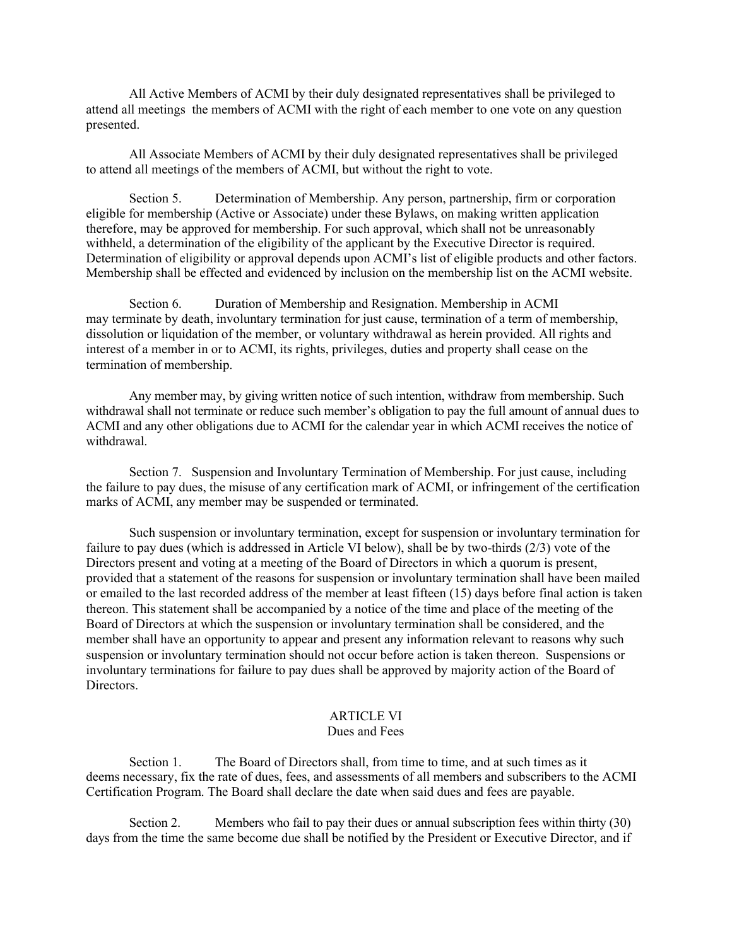All Active Members of ACMI by their duly designated representatives shall be privileged to attend all meetings the members of ACMI with the right of each member to one vote on any question presented.

All Associate Members of ACMI by their duly designated representatives shall be privileged to attend all meetings of the members of ACMI, but without the right to vote.

Section 5. Determination of Membership. Any person, partnership, firm or corporation eligible for membership (Active or Associate) under these Bylaws, on making written application therefore, may be approved for membership. For such approval, which shall not be unreasonably withheld, a determination of the eligibility of the applicant by the Executive Director is required. Determination of eligibility or approval depends upon ACMI's list of eligible products and other factors. Membership shall be effected and evidenced by inclusion on the membership list on the ACMI website.

Section 6. Duration of Membership and Resignation. Membership in ACMI may terminate by death, involuntary termination for just cause, termination of a term of membership, dissolution or liquidation of the member, or voluntary withdrawal as herein provided. All rights and interest of a member in or to ACMI, its rights, privileges, duties and property shall cease on the termination of membership.

Any member may, by giving written notice of such intention, withdraw from membership. Such withdrawal shall not terminate or reduce such member's obligation to pay the full amount of annual dues to ACMI and any other obligations due to ACMI for the calendar year in which ACMI receives the notice of withdrawal.

Section 7. Suspension and Involuntary Termination of Membership. For just cause, including the failure to pay dues, the misuse of any certification mark of ACMI, or infringement of the certification marks of ACMI, any member may be suspended or terminated.

Such suspension or involuntary termination, except for suspension or involuntary termination for failure to pay dues (which is addressed in Article VI below), shall be by two-thirds (2/3) vote of the Directors present and voting at a meeting of the Board of Directors in which a quorum is present, provided that a statement of the reasons for suspension or involuntary termination shall have been mailed or emailed to the last recorded address of the member at least fifteen (15) days before final action is taken thereon. This statement shall be accompanied by a notice of the time and place of the meeting of the Board of Directors at which the suspension or involuntary termination shall be considered, and the member shall have an opportunity to appear and present any information relevant to reasons why such suspension or involuntary termination should not occur before action is taken thereon. Suspensions or involuntary terminations for failure to pay dues shall be approved by majority action of the Board of Directors.

## ARTICLE VI

#### Dues and Fees

Section 1. The Board of Directors shall, from time to time, and at such times as it deems necessary, fix the rate of dues, fees, and assessments of all members and subscribers to the ACMI Certification Program. The Board shall declare the date when said dues and fees are payable.

Section 2. Members who fail to pay their dues or annual subscription fees within thirty (30) days from the time the same become due shall be notified by the President or Executive Director, and if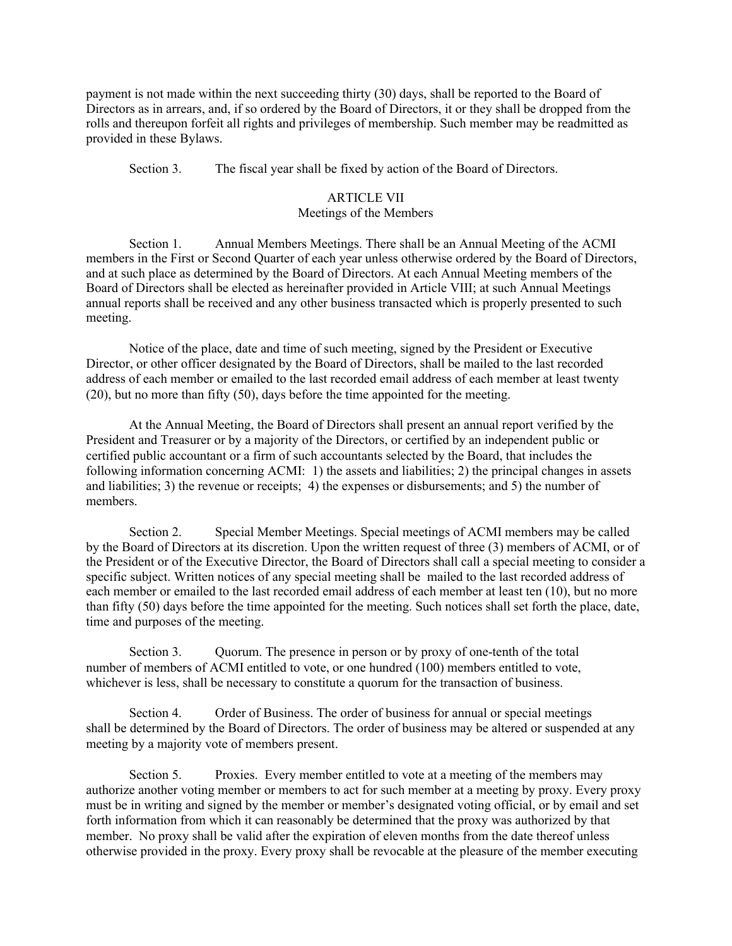payment is not made within the next succeeding thirty (30) days, shall be reported to the Board of Directors as in arrears, and, if so ordered by the Board of Directors, it or they shall be dropped from the rolls and thereupon forfeit all rights and privileges of membership. Such member may be readmitted as provided in these Bylaws.

Section 3. The fiscal year shall be fixed by action of the Board of Directors.

#### ARTICLE VII

#### Meetings of the Members

Section 1. Annual Members Meetings. There shall be an Annual Meeting of the ACMI members in the First or Second Quarter of each year unless otherwise ordered by the Board of Directors, and at such place as determined by the Board of Directors. At each Annual Meeting members of the Board of Directors shall be elected as hereinafter provided in Article VIII; at such Annual Meetings annual reports shall be received and any other business transacted which is properly presented to such meeting.

Notice of the place, date and time of such meeting, signed by the President or Executive Director, or other officer designated by the Board of Directors, shall be mailed to the last recorded address of each member or emailed to the last recorded email address of each member at least twenty (20), but no more than fifty (50), days before the time appointed for the meeting.

At the Annual Meeting, the Board of Directors shall present an annual report verified by the President and Treasurer or by a majority of the Directors, or certified by an independent public or certified public accountant or a firm of such accountants selected by the Board, that includes the following information concerning ACMI: 1) the assets and liabilities; 2) the principal changes in assets and liabilities; 3) the revenue or receipts; 4) the expenses or disbursements; and 5) the number of members.

Section 2. Special Member Meetings. Special meetings of ACMI members may be called by the Board of Directors at its discretion. Upon the written request of three (3) members of ACMI, or of the President or of the Executive Director, the Board of Directors shall call a special meeting to consider a specific subject. Written notices of any special meeting shall be mailed to the last recorded address of each member or emailed to the last recorded email address of each member at least ten (10), but no more than fifty (50) days before the time appointed for the meeting. Such notices shall set forth the place, date, time and purposes of the meeting.

Section 3. Quorum. The presence in person or by proxy of one-tenth of the total number of members of ACMI entitled to vote, or one hundred (100) members entitled to vote, whichever is less, shall be necessary to constitute a quorum for the transaction of business.

Section 4. Order of Business. The order of business for annual or special meetings shall be determined by the Board of Directors. The order of business may be altered or suspended at any meeting by a majority vote of members present.

Section 5. Proxies. Every member entitled to vote at a meeting of the members may authorize another voting member or members to act for such member at a meeting by proxy. Every proxy must be in writing and signed by the member or member's designated voting official, or by email and set forth information from which it can reasonably be determined that the proxy was authorized by that member. No proxy shall be valid after the expiration of eleven months from the date thereof unless otherwise provided in the proxy. Every proxy shall be revocable at the pleasure of the member executing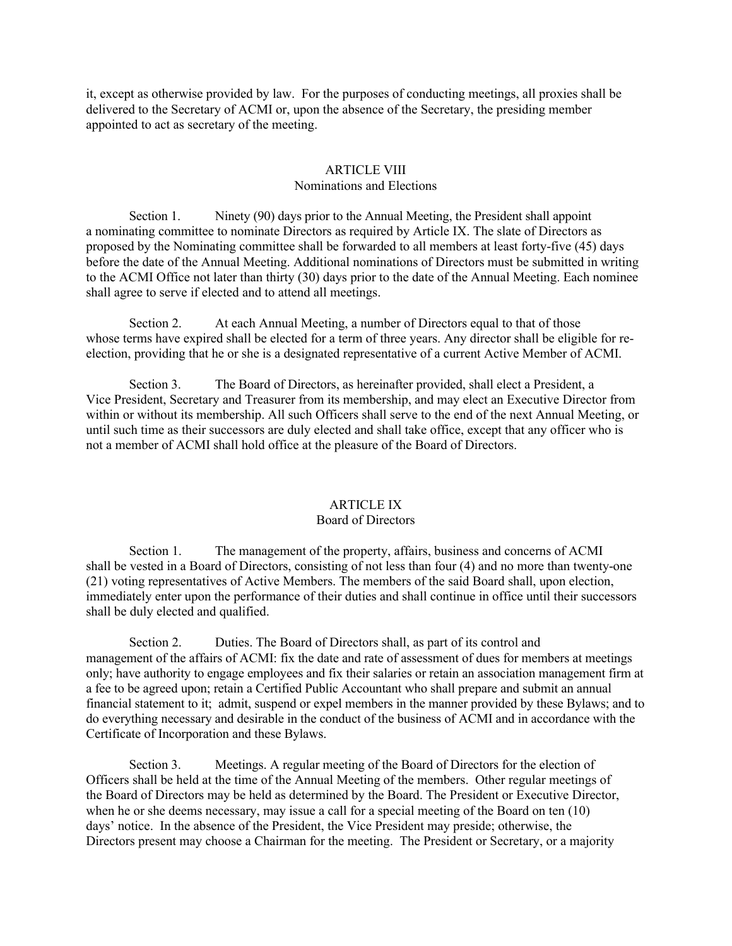it, except as otherwise provided by law. For the purposes of conducting meetings, all proxies shall be delivered to the Secretary of ACMI or, upon the absence of the Secretary, the presiding member appointed to act as secretary of the meeting.

#### ARTICLE VIII Nominations and Elections

Section 1. Ninety (90) days prior to the Annual Meeting, the President shall appoint a nominating committee to nominate Directors as required by Article IX. The slate of Directors as proposed by the Nominating committee shall be forwarded to all members at least forty-five (45) days before the date of the Annual Meeting. Additional nominations of Directors must be submitted in writing to the ACMI Office not later than thirty (30) days prior to the date of the Annual Meeting. Each nominee shall agree to serve if elected and to attend all meetings.

Section 2. At each Annual Meeting, a number of Directors equal to that of those whose terms have expired shall be elected for a term of three years. Any director shall be eligible for reelection, providing that he or she is a designated representative of a current Active Member of ACMI.

Section 3. The Board of Directors, as hereinafter provided, shall elect a President, a Vice President, Secretary and Treasurer from its membership, and may elect an Executive Director from within or without its membership. All such Officers shall serve to the end of the next Annual Meeting, or until such time as their successors are duly elected and shall take office, except that any officer who is not a member of ACMI shall hold office at the pleasure of the Board of Directors.

#### ARTICLE IX

#### Board of Directors

Section 1. The management of the property, affairs, business and concerns of ACMI shall be vested in a Board of Directors, consisting of not less than four (4) and no more than twenty-one (21) voting representatives of Active Members. The members of the said Board shall, upon election, immediately enter upon the performance of their duties and shall continue in office until their successors shall be duly elected and qualified.

Section 2. Duties. The Board of Directors shall, as part of its control and management of the affairs of ACMI: fix the date and rate of assessment of dues for members at meetings only; have authority to engage employees and fix their salaries or retain an association management firm at a fee to be agreed upon; retain a Certified Public Accountant who shall prepare and submit an annual financial statement to it; admit, suspend or expel members in the manner provided by these Bylaws; and to do everything necessary and desirable in the conduct of the business of ACMI and in accordance with the Certificate of Incorporation and these Bylaws.

Section 3. Meetings. A regular meeting of the Board of Directors for the election of Officers shall be held at the time of the Annual Meeting of the members. Other regular meetings of the Board of Directors may be held as determined by the Board. The President or Executive Director, when he or she deems necessary, may issue a call for a special meeting of the Board on ten (10) days' notice. In the absence of the President, the Vice President may preside; otherwise, the Directors present may choose a Chairman for the meeting. The President or Secretary, or a majority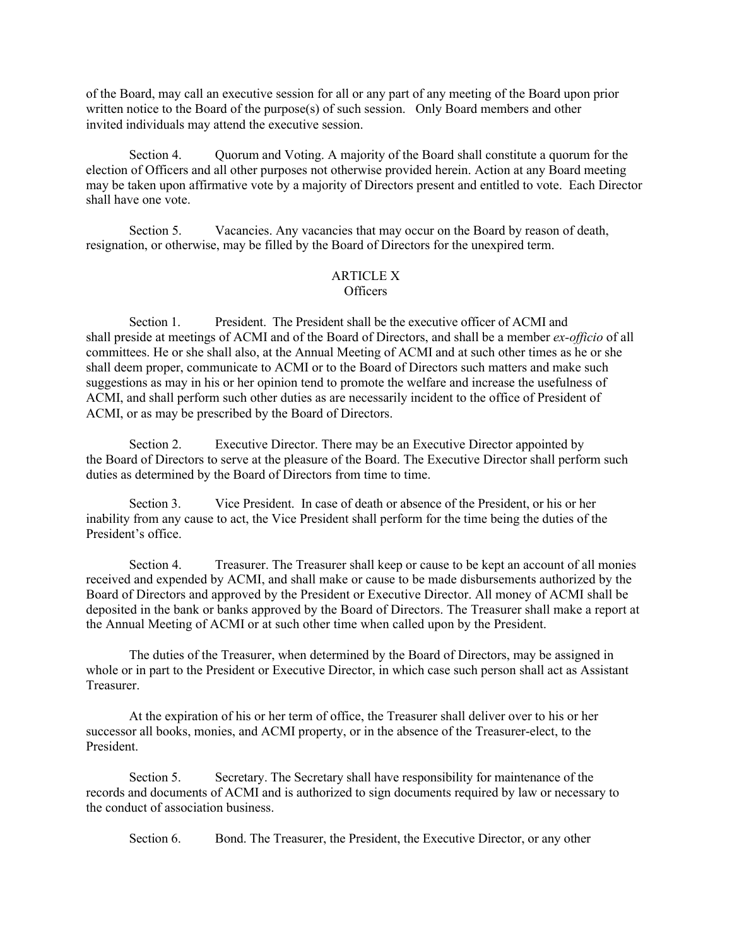of the Board, may call an executive session for all or any part of any meeting of the Board upon prior written notice to the Board of the purpose(s) of such session. Only Board members and other invited individuals may attend the executive session.

Section 4. Quorum and Voting. A majority of the Board shall constitute a quorum for the election of Officers and all other purposes not otherwise provided herein. Action at any Board meeting may be taken upon affirmative vote by a majority of Directors present and entitled to vote. Each Director shall have one vote.

Section 5. Vacancies. Any vacancies that may occur on the Board by reason of death, resignation, or otherwise, may be filled by the Board of Directors for the unexpired term.

#### ARTICLE X Officers

Section 1. President. The President shall be the executive officer of ACMI and shall preside at meetings of ACMI and of the Board of Directors, and shall be a member *ex-officio* of all committees. He or she shall also, at the Annual Meeting of ACMI and at such other times as he or she shall deem proper, communicate to ACMI or to the Board of Directors such matters and make such suggestions as may in his or her opinion tend to promote the welfare and increase the usefulness of ACMI, and shall perform such other duties as are necessarily incident to the office of President of ACMI, or as may be prescribed by the Board of Directors.

Section 2. Executive Director. There may be an Executive Director appointed by the Board of Directors to serve at the pleasure of the Board. The Executive Director shall perform such duties as determined by the Board of Directors from time to time.

Section 3. Vice President. In case of death or absence of the President, or his or her inability from any cause to act, the Vice President shall perform for the time being the duties of the President's office.

Section 4. Treasurer. The Treasurer shall keep or cause to be kept an account of all monies received and expended by ACMI, and shall make or cause to be made disbursements authorized by the Board of Directors and approved by the President or Executive Director. All money of ACMI shall be deposited in the bank or banks approved by the Board of Directors. The Treasurer shall make a report at the Annual Meeting of ACMI or at such other time when called upon by the President.

The duties of the Treasurer, when determined by the Board of Directors, may be assigned in whole or in part to the President or Executive Director, in which case such person shall act as Assistant Treasurer.

At the expiration of his or her term of office, the Treasurer shall deliver over to his or her successor all books, monies, and ACMI property, or in the absence of the Treasurer-elect, to the President.

Section 5. Secretary. The Secretary shall have responsibility for maintenance of the records and documents of ACMI and is authorized to sign documents required by law or necessary to the conduct of association business.

Section 6. Bond. The Treasurer, the President, the Executive Director, or any other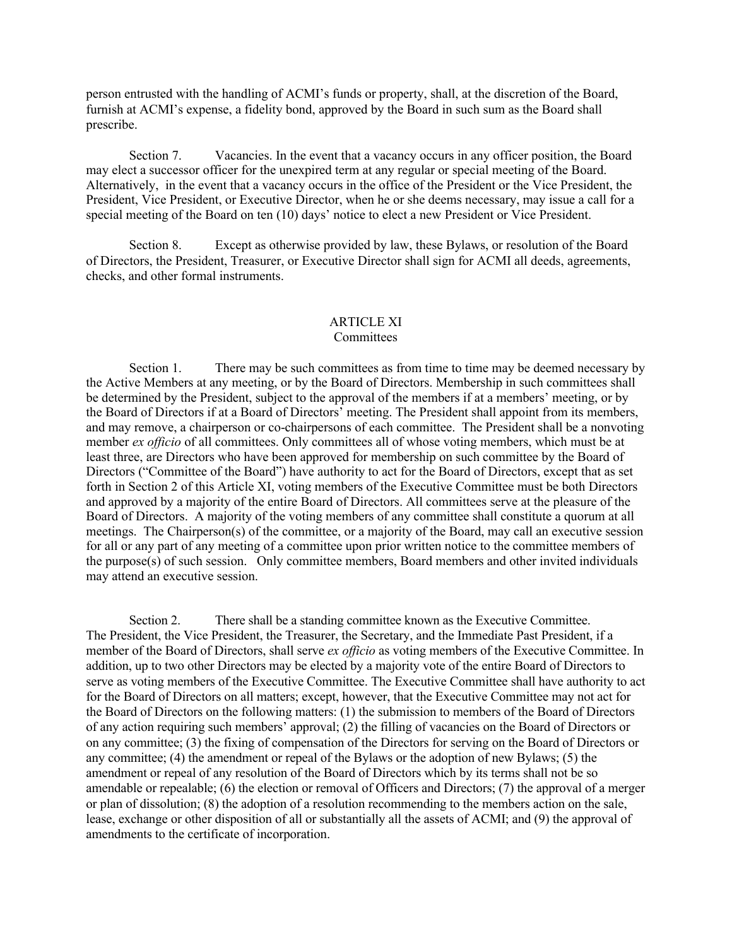person entrusted with the handling of ACMI's funds or property, shall, at the discretion of the Board, furnish at ACMI's expense, a fidelity bond, approved by the Board in such sum as the Board shall prescribe.

Section 7. Vacancies. In the event that a vacancy occurs in any officer position, the Board may elect a successor officer for the unexpired term at any regular or special meeting of the Board. Alternatively, in the event that a vacancy occurs in the office of the President or the Vice President, the President, Vice President, or Executive Director, when he or she deems necessary, may issue a call for a special meeting of the Board on ten (10) days' notice to elect a new President or Vice President.

Section 8. Except as otherwise provided by law, these Bylaws, or resolution of the Board of Directors, the President, Treasurer, or Executive Director shall sign for ACMI all deeds, agreements, checks, and other formal instruments.

#### ARTICLE XI **Committees**

Section 1. There may be such committees as from time to time may be deemed necessary by the Active Members at any meeting, or by the Board of Directors. Membership in such committees shall be determined by the President, subject to the approval of the members if at a members' meeting, or by the Board of Directors if at a Board of Directors' meeting. The President shall appoint from its members, and may remove, a chairperson or co-chairpersons of each committee. The President shall be a nonvoting member *ex officio* of all committees. Only committees all of whose voting members, which must be at least three, are Directors who have been approved for membership on such committee by the Board of Directors ("Committee of the Board") have authority to act for the Board of Directors, except that as set forth in Section 2 of this Article XI, voting members of the Executive Committee must be both Directors and approved by a majority of the entire Board of Directors. All committees serve at the pleasure of the Board of Directors. A majority of the voting members of any committee shall constitute a quorum at all meetings. The Chairperson(s) of the committee, or a majority of the Board, may call an executive session for all or any part of any meeting of a committee upon prior written notice to the committee members of the purpose(s) of such session. Only committee members, Board members and other invited individuals may attend an executive session.

Section 2. There shall be a standing committee known as the Executive Committee. The President, the Vice President, the Treasurer, the Secretary, and the Immediate Past President, if a member of the Board of Directors, shall serve *ex officio* as voting members of the Executive Committee. In addition, up to two other Directors may be elected by a majority vote of the entire Board of Directors to serve as voting members of the Executive Committee. The Executive Committee shall have authority to act for the Board of Directors on all matters; except, however, that the Executive Committee may not act for the Board of Directors on the following matters: (1) the submission to members of the Board of Directors of any action requiring such members' approval; (2) the filling of vacancies on the Board of Directors or on any committee; (3) the fixing of compensation of the Directors for serving on the Board of Directors or any committee; (4) the amendment or repeal of the Bylaws or the adoption of new Bylaws; (5) the amendment or repeal of any resolution of the Board of Directors which by its terms shall not be so amendable or repealable; (6) the election or removal of Officers and Directors; (7) the approval of a merger or plan of dissolution; (8) the adoption of a resolution recommending to the members action on the sale, lease, exchange or other disposition of all or substantially all the assets of ACMI; and (9) the approval of amendments to the certificate of incorporation.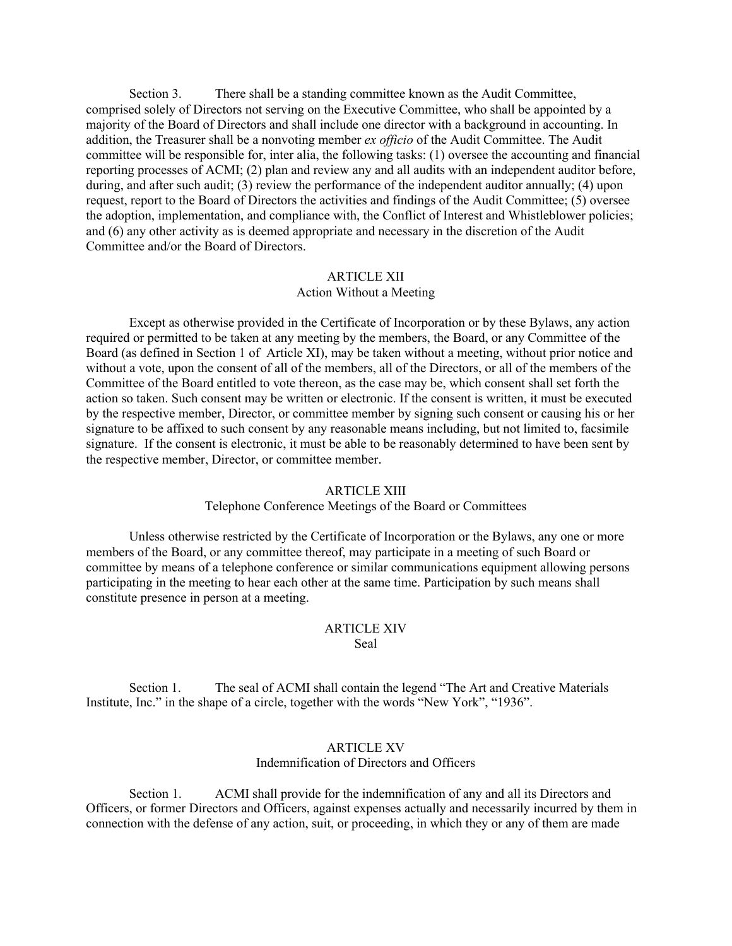Section 3. There shall be a standing committee known as the Audit Committee, comprised solely of Directors not serving on the Executive Committee, who shall be appointed by a majority of the Board of Directors and shall include one director with a background in accounting. In addition, the Treasurer shall be a nonvoting member *ex officio* of the Audit Committee. The Audit committee will be responsible for, inter alia, the following tasks: (1) oversee the accounting and financial reporting processes of ACMI; (2) plan and review any and all audits with an independent auditor before, during, and after such audit; (3) review the performance of the independent auditor annually; (4) upon request, report to the Board of Directors the activities and findings of the Audit Committee; (5) oversee the adoption, implementation, and compliance with, the Conflict of Interest and Whistleblower policies; and (6) any other activity as is deemed appropriate and necessary in the discretion of the Audit Committee and/or the Board of Directors.

#### ARTICLE XII

#### Action Without a Meeting

Except as otherwise provided in the Certificate of Incorporation or by these Bylaws, any action required or permitted to be taken at any meeting by the members, the Board, or any Committee of the Board (as defined in Section 1 of Article XI), may be taken without a meeting, without prior notice and without a vote, upon the consent of all of the members, all of the Directors, or all of the members of the Committee of the Board entitled to vote thereon, as the case may be, which consent shall set forth the action so taken. Such consent may be written or electronic. If the consent is written, it must be executed by the respective member, Director, or committee member by signing such consent or causing his or her signature to be affixed to such consent by any reasonable means including, but not limited to, facsimile signature. If the consent is electronic, it must be able to be reasonably determined to have been sent by the respective member, Director, or committee member.

#### ARTICLE XIII

#### Telephone Conference Meetings of the Board or Committees

Unless otherwise restricted by the Certificate of Incorporation or the Bylaws, any one or more members of the Board, or any committee thereof, may participate in a meeting of such Board or committee by means of a telephone conference or similar communications equipment allowing persons participating in the meeting to hear each other at the same time. Participation by such means shall constitute presence in person at a meeting.

#### ARTICLE XIV Seal

Section 1. The seal of ACMI shall contain the legend "The Art and Creative Materials Institute, Inc." in the shape of a circle, together with the words "New York", "1936".

#### ARTICLE XV

#### Indemnification of Directors and Officers

Section 1. ACMI shall provide for the indemnification of any and all its Directors and Officers, or former Directors and Officers, against expenses actually and necessarily incurred by them in connection with the defense of any action, suit, or proceeding, in which they or any of them are made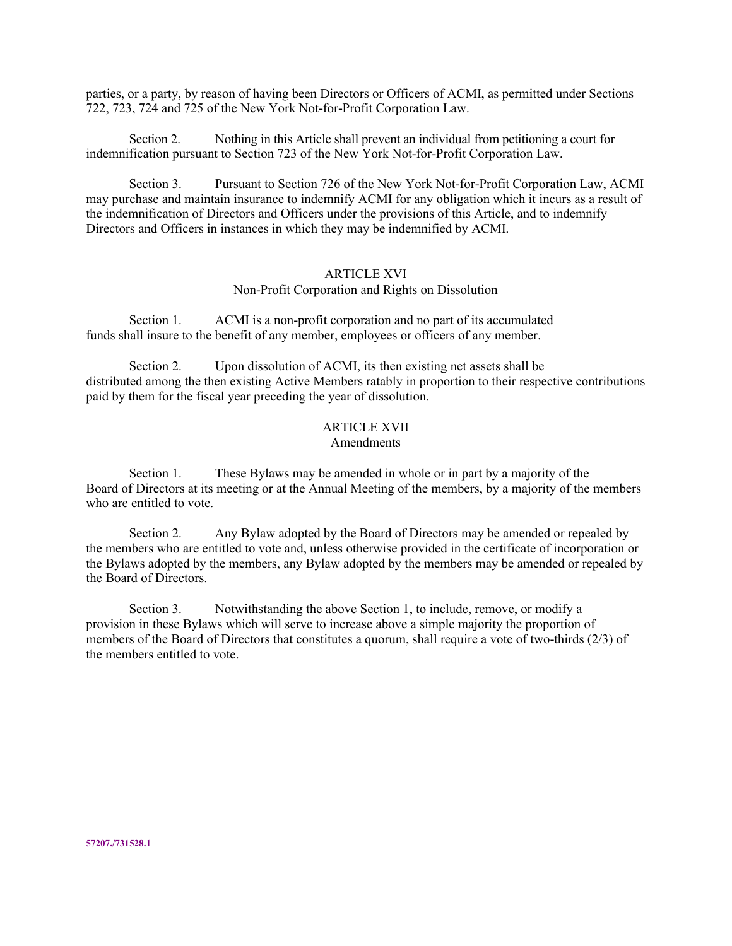parties, or a party, by reason of having been Directors or Officers of ACMI, as permitted under Sections 722, 723, 724 and 725 of the New York Not-for-Profit Corporation Law.

Section 2. Nothing in this Article shall prevent an individual from petitioning a court for indemnification pursuant to Section 723 of the New York Not-for-Profit Corporation Law.

Section 3. Pursuant to Section 726 of the New York Not-for-Profit Corporation Law, ACMI may purchase and maintain insurance to indemnify ACMI for any obligation which it incurs as a result of the indemnification of Directors and Officers under the provisions of this Article, and to indemnify Directors and Officers in instances in which they may be indemnified by ACMI.

#### ARTICLE XVI

#### Non-Profit Corporation and Rights on Dissolution

Section 1. ACMI is a non-profit corporation and no part of its accumulated funds shall insure to the benefit of any member, employees or officers of any member.

Section 2. Upon dissolution of ACMI, its then existing net assets shall be distributed among the then existing Active Members ratably in proportion to their respective contributions paid by them for the fiscal year preceding the year of dissolution.

## ARTICLE XVII

## Amendments

Section 1. These Bylaws may be amended in whole or in part by a majority of the Board of Directors at its meeting or at the Annual Meeting of the members, by a majority of the members who are entitled to vote.

Section 2. Any Bylaw adopted by the Board of Directors may be amended or repealed by the members who are entitled to vote and, unless otherwise provided in the certificate of incorporation or the Bylaws adopted by the members, any Bylaw adopted by the members may be amended or repealed by the Board of Directors.

Section 3. Notwithstanding the above Section 1, to include, remove, or modify a provision in these Bylaws which will serve to increase above a simple majority the proportion of members of the Board of Directors that constitutes a quorum, shall require a vote of two-thirds (2/3) of the members entitled to vote.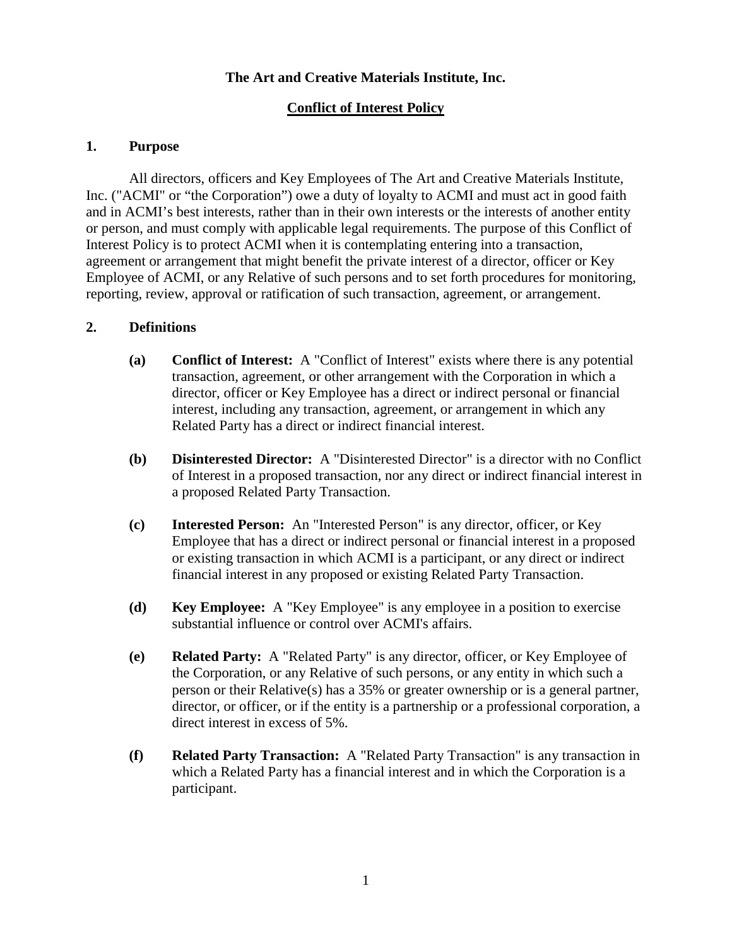## **The Art and Creative Materials Institute, Inc.**

## **Conflict of Interest Policy**

## **1. Purpose**

All directors, officers and Key Employees of The Art and Creative Materials Institute, Inc. ("ACMI" or "the Corporation") owe a duty of loyalty to ACMI and must act in good faith and in ACMI's best interests, rather than in their own interests or the interests of another entity or person, and must comply with applicable legal requirements. The purpose of this Conflict of Interest Policy is to protect ACMI when it is contemplating entering into a transaction, agreement or arrangement that might benefit the private interest of a director, officer or Key Employee of ACMI, or any Relative of such persons and to set forth procedures for monitoring, reporting, review, approval or ratification of such transaction, agreement, or arrangement.

## **2. Definitions**

- **(a) Conflict of Interest:** A "Conflict of Interest" exists where there is any potential transaction, agreement, or other arrangement with the Corporation in which a director, officer or Key Employee has a direct or indirect personal or financial interest, including any transaction, agreement, or arrangement in which any Related Party has a direct or indirect financial interest.
- **(b) Disinterested Director:** A "Disinterested Director" is a director with no Conflict of Interest in a proposed transaction, nor any direct or indirect financial interest in a proposed Related Party Transaction.
- **(c) Interested Person:** An "Interested Person" is any director, officer, or Key Employee that has a direct or indirect personal or financial interest in a proposed or existing transaction in which ACMI is a participant, or any direct or indirect financial interest in any proposed or existing Related Party Transaction.
- **(d) Key Employee:** A "Key Employee" is any employee in a position to exercise substantial influence or control over ACMI's affairs.
- **(e) Related Party:** A "Related Party" is any director, officer, or Key Employee of the Corporation, or any Relative of such persons, or any entity in which such a person or their Relative(s) has a 35% or greater ownership or is a general partner, director, or officer, or if the entity is a partnership or a professional corporation, a direct interest in excess of 5%.
- **(f) Related Party Transaction:** A "Related Party Transaction" is any transaction in which a Related Party has a financial interest and in which the Corporation is a participant.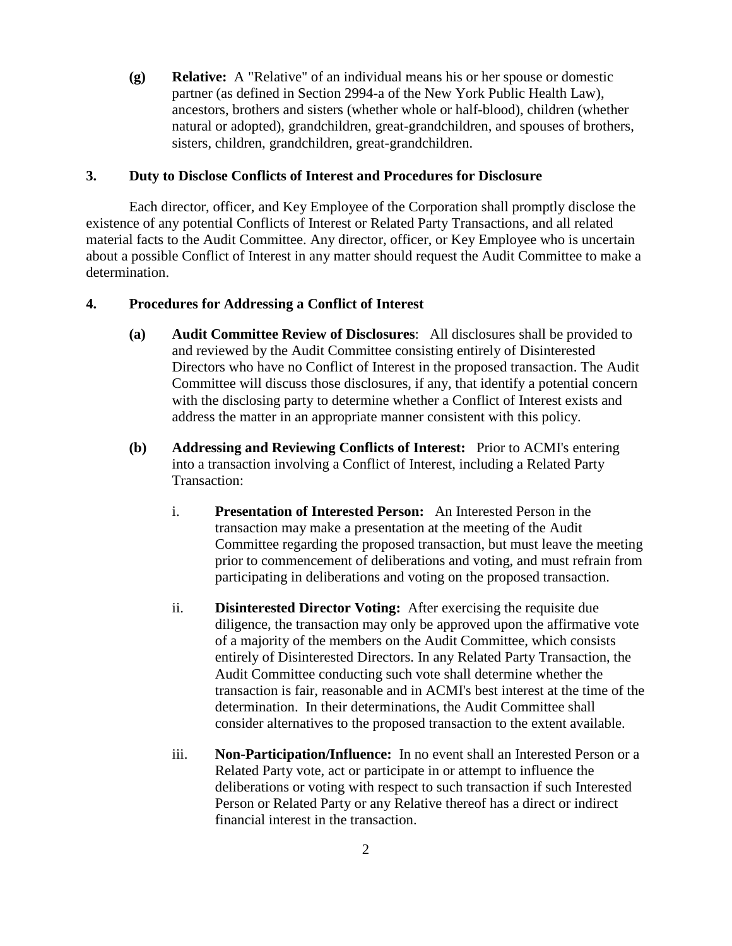**(g) Relative:** A "Relative" of an individual means his or her spouse or domestic partner (as defined in Section 2994-a of the New York Public Health Law), ancestors, brothers and sisters (whether whole or half-blood), children (whether natural or adopted), grandchildren, great-grandchildren, and spouses of brothers, sisters, children, grandchildren, great-grandchildren.

#### **3. Duty to Disclose Conflicts of Interest and Procedures for Disclosure**

Each director, officer, and Key Employee of the Corporation shall promptly disclose the existence of any potential Conflicts of Interest or Related Party Transactions, and all related material facts to the Audit Committee. Any director, officer, or Key Employee who is uncertain about a possible Conflict of Interest in any matter should request the Audit Committee to make a determination.

## **4. Procedures for Addressing a Conflict of Interest**

- **(a) Audit Committee Review of Disclosures**: All disclosures shall be provided to and reviewed by the Audit Committee consisting entirely of Disinterested Directors who have no Conflict of Interest in the proposed transaction. The Audit Committee will discuss those disclosures, if any, that identify a potential concern with the disclosing party to determine whether a Conflict of Interest exists and address the matter in an appropriate manner consistent with this policy.
- **(b) Addressing and Reviewing Conflicts of Interest:** Prior to ACMI's entering into a transaction involving a Conflict of Interest, including a Related Party Transaction:
	- i. **Presentation of Interested Person:** An Interested Person in the transaction may make a presentation at the meeting of the Audit Committee regarding the proposed transaction, but must leave the meeting prior to commencement of deliberations and voting, and must refrain from participating in deliberations and voting on the proposed transaction.
	- ii. **Disinterested Director Voting:** After exercising the requisite due diligence, the transaction may only be approved upon the affirmative vote of a majority of the members on the Audit Committee, which consists entirely of Disinterested Directors. In any Related Party Transaction, the Audit Committee conducting such vote shall determine whether the transaction is fair, reasonable and in ACMI's best interest at the time of the determination. In their determinations, the Audit Committee shall consider alternatives to the proposed transaction to the extent available.
	- iii. **Non-Participation/Influence:** In no event shall an Interested Person or a Related Party vote, act or participate in or attempt to influence the deliberations or voting with respect to such transaction if such Interested Person or Related Party or any Relative thereof has a direct or indirect financial interest in the transaction.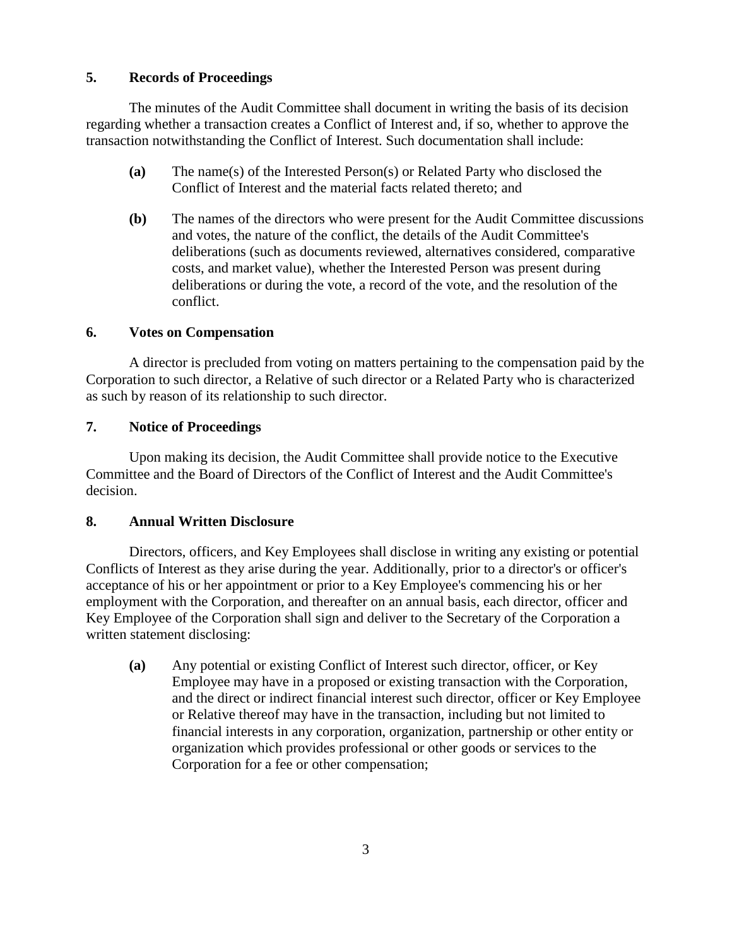## **5. Records of Proceedings**

The minutes of the Audit Committee shall document in writing the basis of its decision regarding whether a transaction creates a Conflict of Interest and, if so, whether to approve the transaction notwithstanding the Conflict of Interest. Such documentation shall include:

- **(a)** The name(s) of the Interested Person(s) or Related Party who disclosed the Conflict of Interest and the material facts related thereto; and
- **(b)** The names of the directors who were present for the Audit Committee discussions and votes, the nature of the conflict, the details of the Audit Committee's deliberations (such as documents reviewed, alternatives considered, comparative costs, and market value), whether the Interested Person was present during deliberations or during the vote, a record of the vote, and the resolution of the conflict.

## **6. Votes on Compensation**

A director is precluded from voting on matters pertaining to the compensation paid by the Corporation to such director, a Relative of such director or a Related Party who is characterized as such by reason of its relationship to such director.

## **7. Notice of Proceedings**

Upon making its decision, the Audit Committee shall provide notice to the Executive Committee and the Board of Directors of the Conflict of Interest and the Audit Committee's decision.

## **8. Annual Written Disclosure**

Directors, officers, and Key Employees shall disclose in writing any existing or potential Conflicts of Interest as they arise during the year. Additionally, prior to a director's or officer's acceptance of his or her appointment or prior to a Key Employee's commencing his or her employment with the Corporation, and thereafter on an annual basis, each director, officer and Key Employee of the Corporation shall sign and deliver to the Secretary of the Corporation a written statement disclosing:

**(a)** Any potential or existing Conflict of Interest such director, officer, or Key Employee may have in a proposed or existing transaction with the Corporation, and the direct or indirect financial interest such director, officer or Key Employee or Relative thereof may have in the transaction, including but not limited to financial interests in any corporation, organization, partnership or other entity or organization which provides professional or other goods or services to the Corporation for a fee or other compensation;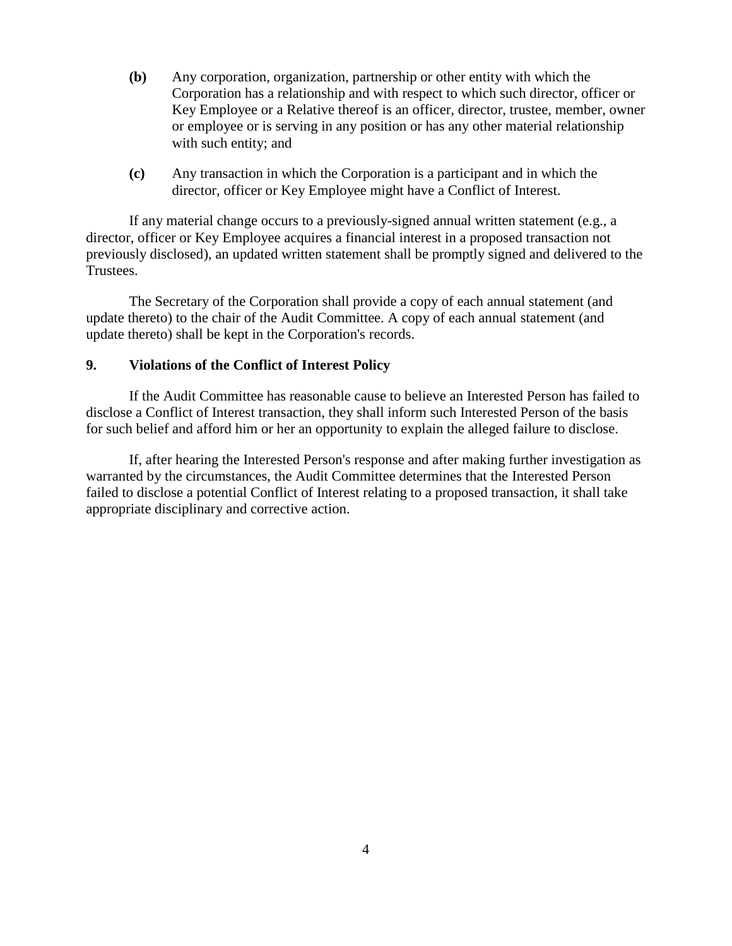- **(b)** Any corporation, organization, partnership or other entity with which the Corporation has a relationship and with respect to which such director, officer or Key Employee or a Relative thereof is an officer, director, trustee, member, owner or employee or is serving in any position or has any other material relationship with such entity; and
- **(c)** Any transaction in which the Corporation is a participant and in which the director, officer or Key Employee might have a Conflict of Interest.

If any material change occurs to a previously-signed annual written statement (e.g., a director, officer or Key Employee acquires a financial interest in a proposed transaction not previously disclosed), an updated written statement shall be promptly signed and delivered to the Trustees.

The Secretary of the Corporation shall provide a copy of each annual statement (and update thereto) to the chair of the Audit Committee. A copy of each annual statement (and update thereto) shall be kept in the Corporation's records.

## **9. Violations of the Conflict of Interest Policy**

If the Audit Committee has reasonable cause to believe an Interested Person has failed to disclose a Conflict of Interest transaction, they shall inform such Interested Person of the basis for such belief and afford him or her an opportunity to explain the alleged failure to disclose.

If, after hearing the Interested Person's response and after making further investigation as warranted by the circumstances, the Audit Committee determines that the Interested Person failed to disclose a potential Conflict of Interest relating to a proposed transaction, it shall take appropriate disciplinary and corrective action.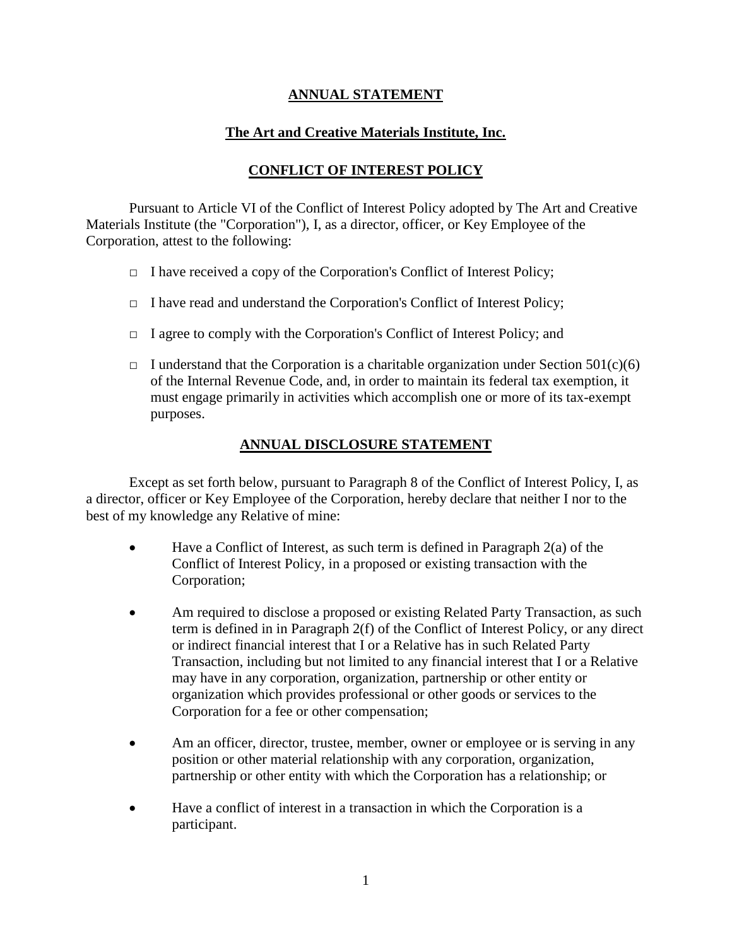## **ANNUAL STATEMENT**

## **The Art and Creative Materials Institute, Inc.**

## **CONFLICT OF INTEREST POLICY**

Pursuant to Article VI of the Conflict of Interest Policy adopted by The Art and Creative Materials Institute (the "Corporation"), I, as a director, officer, or Key Employee of the Corporation, attest to the following:

- $\Box$  I have received a copy of the Corporation's Conflict of Interest Policy;
- $\Box$  I have read and understand the Corporation's Conflict of Interest Policy;
- □ I agree to comply with the Corporation's Conflict of Interest Policy; and
- $\Box$  I understand that the Corporation is a charitable organization under Section 501(c)(6) of the Internal Revenue Code, and, in order to maintain its federal tax exemption, it must engage primarily in activities which accomplish one or more of its tax-exempt purposes.

## **ANNUAL DISCLOSURE STATEMENT**

Except as set forth below, pursuant to Paragraph 8 of the Conflict of Interest Policy, I, as a director, officer or Key Employee of the Corporation, hereby declare that neither I nor to the best of my knowledge any Relative of mine:

- Have a Conflict of Interest, as such term is defined in Paragraph 2(a) of the Conflict of Interest Policy, in a proposed or existing transaction with the Corporation;
- Am required to disclose a proposed or existing Related Party Transaction, as such term is defined in in Paragraph 2(f) of the Conflict of Interest Policy, or any direct or indirect financial interest that I or a Relative has in such Related Party Transaction, including but not limited to any financial interest that I or a Relative may have in any corporation, organization, partnership or other entity or organization which provides professional or other goods or services to the Corporation for a fee or other compensation;
- Am an officer, director, trustee, member, owner or employee or is serving in any position or other material relationship with any corporation, organization, partnership or other entity with which the Corporation has a relationship; or
- Have a conflict of interest in a transaction in which the Corporation is a participant.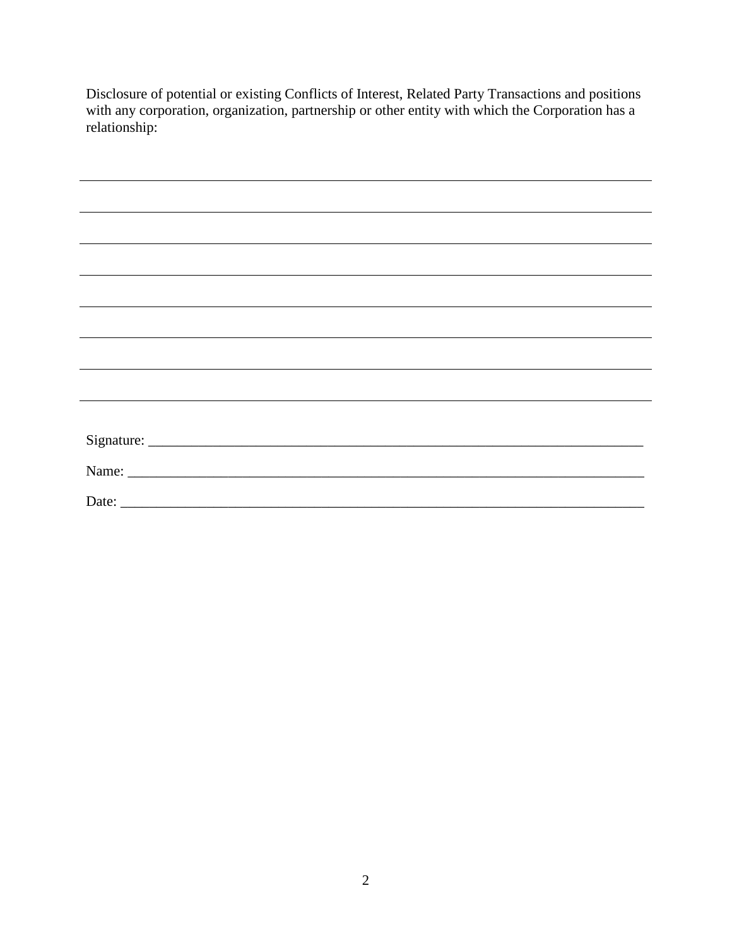Disclosure of potential or existing Conflicts of Interest, Related Party Transactions and positions with any corporation, organization, partnership or other entity with which the Corporation has a relationship: